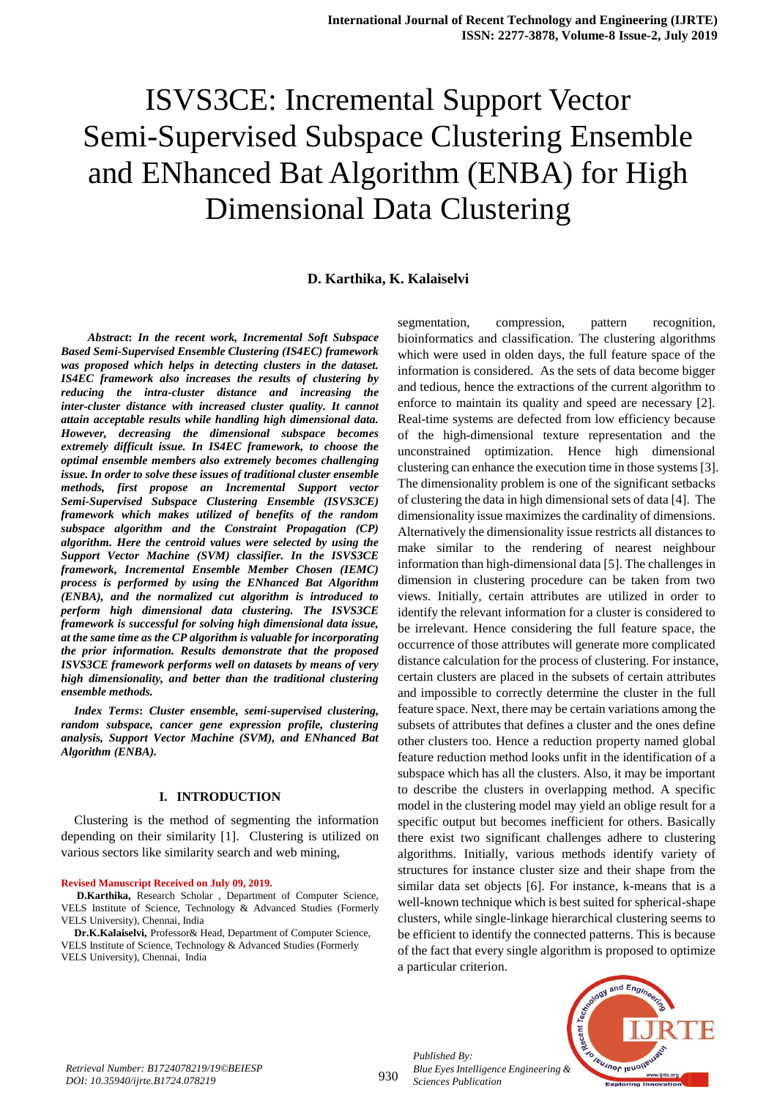## **D. Karthika, K. Kalaiselvi**

 *Abstract***:** *In the recent work, Incremental Soft Subspace Based Semi-Supervised Ensemble Clustering (IS4EC) framework was proposed which helps in detecting clusters in the dataset. IS4EC framework also increases the results of clustering by reducing the intra-cluster distance and increasing the inter-cluster distance with increased cluster quality. It cannot attain acceptable results while handling high dimensional data. However, decreasing the dimensional subspace becomes extremely difficult issue. In IS4EC framework, to choose the optimal ensemble members also extremely becomes challenging issue. In order to solve these issues of traditional cluster ensemble methods, first propose an Incremental Support vector Semi-Supervised Subspace Clustering Ensemble (ISVS3CE) framework which makes utilized of benefits of the random subspace algorithm and the Constraint Propagation (CP) algorithm. Here the centroid values were selected by using the Support Vector Machine (SVM) classifier. In the ISVS3CE framework, Incremental Ensemble Member Chosen (IEMC) process is performed by using the ENhanced Bat Algorithm (ENBA), and the normalized cut algorithm is introduced to perform high dimensional data clustering. The ISVS3CE framework is successful for solving high dimensional data issue, at the same time as the CP algorithm is valuable for incorporating the prior information. Results demonstrate that the proposed ISVS3CE framework performs well on datasets by means of very high dimensionality, and better than the traditional clustering ensemble methods.*

*Index Terms***:** *Cluster ensemble, semi-supervised clustering, random subspace, cancer gene expression profile, clustering analysis, Support Vector Machine (SVM), and ENhanced Bat Algorithm (ENBA).*

#### **I. INTRODUCTION**

Clustering is the method of segmenting the information depending on their similarity [1]. Clustering is utilized on various sectors like similarity search and web mining,

#### **Revised Manuscript Received on July 09, 2019.**

**D.Karthika,** Research Scholar , Department of Computer Science, VELS Institute of Science, Technology & Advanced Studies (Formerly VELS University), Chennai, India

**Dr.K.Kalaiselvi,** Professor& Head, Department of Computer Science, VELS Institute of Science, Technology & Advanced Studies (Formerly VELS University), Chennai, India

segmentation, compression, pattern recognition, bioinformatics and classification. The clustering algorithms which were used in olden days, the full feature space of the information is considered. As the sets of data become bigger and tedious, hence the extractions of the current algorithm to enforce to maintain its quality and speed are necessary [2]. Real-time systems are defected from low efficiency because of the high-dimensional texture representation and the unconstrained optimization. Hence high dimensional clustering can enhance the execution time in those systems [3]. The dimensionality problem is one of the significant setbacks of clustering the data in high dimensional sets of data [4]. The dimensionality issue maximizes the cardinality of dimensions. Alternatively the dimensionality issue restricts all distances to make similar to the rendering of nearest neighbour information than high-dimensional data [5]. The challenges in dimension in clustering procedure can be taken from two views. Initially, certain attributes are utilized in order to identify the relevant information for a cluster is considered to be irrelevant. Hence considering the full feature space, the occurrence of those attributes will generate more complicated distance calculation for the process of clustering. For instance, certain clusters are placed in the subsets of certain attributes and impossible to correctly determine the cluster in the full feature space. Next, there may be certain variations among the subsets of attributes that defines a cluster and the ones define other clusters too. Hence a reduction property named global feature reduction method looks unfit in the identification of a subspace which has all the clusters. Also, it may be important to describe the clusters in overlapping method. A specific model in the clustering model may yield an oblige result for a specific output but becomes inefficient for others. Basically there exist two significant challenges adhere to clustering algorithms. Initially, various methods identify variety of structures for instance cluster size and their shape from the similar data set objects [6]. For instance, k-means that is a well-known technique which is best suited for spherical-shape clusters, while single-linkage hierarchical clustering seems to be efficient to identify the connected patterns. This is because of the fact that every single algorithm is proposed to optimize a particular criterion.



930

*Published By:*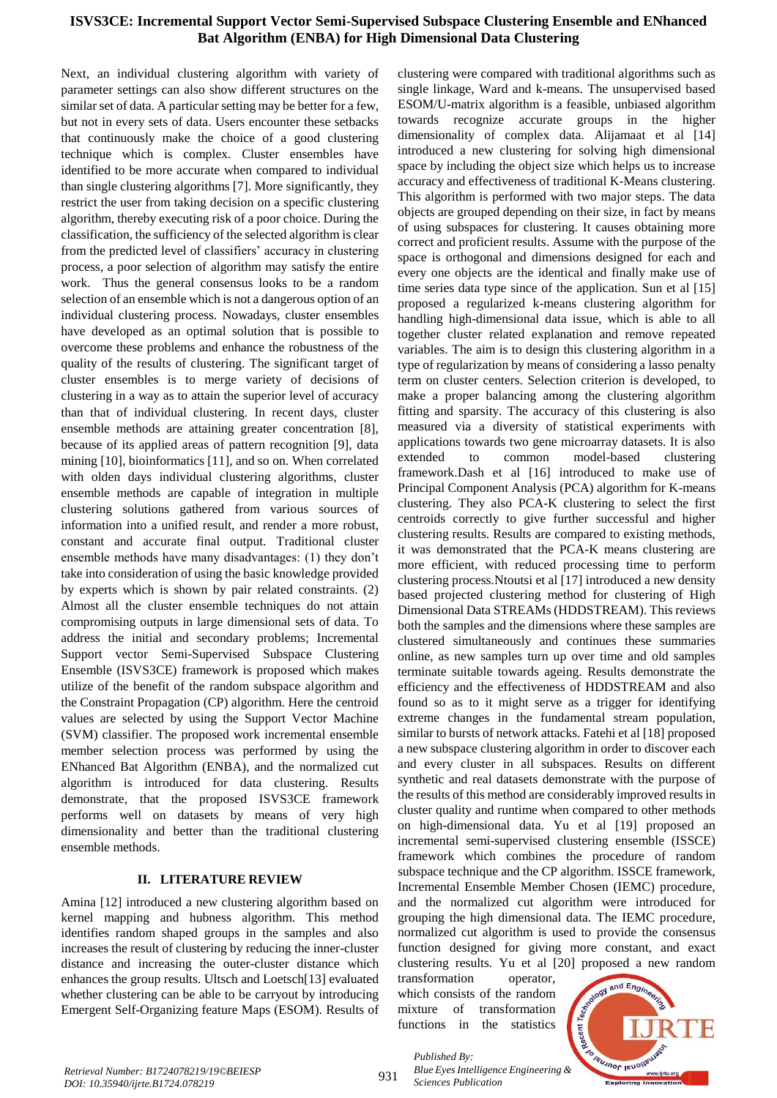Next, an individual clustering algorithm with variety of parameter settings can also show different structures on the similar set of data. A particular setting may be better for a few, but not in every sets of data. Users encounter these setbacks that continuously make the choice of a good clustering technique which is complex. Cluster ensembles have identified to be more accurate when compared to individual than single clustering algorithms [7]. More significantly, they restrict the user from taking decision on a specific clustering algorithm, thereby executing risk of a poor choice. During the classification, the sufficiency of the selected algorithm is clear from the predicted level of classifiers' accuracy in clustering process, a poor selection of algorithm may satisfy the entire work. Thus the general consensus looks to be a random selection of an ensemble which is not a dangerous option of an individual clustering process. Nowadays, cluster ensembles have developed as an optimal solution that is possible to overcome these problems and enhance the robustness of the quality of the results of clustering. The significant target of cluster ensembles is to merge variety of decisions of clustering in a way as to attain the superior level of accuracy than that of individual clustering. In recent days, cluster ensemble methods are attaining greater concentration [8], because of its applied areas of pattern recognition [9], data mining [10], bioinformatics [11], and so on. When correlated with olden days individual clustering algorithms, cluster ensemble methods are capable of integration in multiple clustering solutions gathered from various sources of information into a unified result, and render a more robust, constant and accurate final output. Traditional cluster ensemble methods have many disadvantages: (1) they don't take into consideration of using the basic knowledge provided by experts which is shown by pair related constraints. (2) Almost all the cluster ensemble techniques do not attain compromising outputs in large dimensional sets of data. To address the initial and secondary problems; Incremental Support vector Semi-Supervised Subspace Clustering Ensemble (ISVS3CE) framework is proposed which makes utilize of the benefit of the random subspace algorithm and the Constraint Propagation (CP) algorithm. Here the centroid values are selected by using the Support Vector Machine (SVM) classifier. The proposed work incremental ensemble member selection process was performed by using the ENhanced Bat Algorithm (ENBA), and the normalized cut algorithm is introduced for data clustering. Results demonstrate, that the proposed ISVS3CE framework performs well on datasets by means of very high dimensionality and better than the traditional clustering ensemble methods.

## **II. LITERATURE REVIEW**

Amina [12] introduced a new clustering algorithm based on kernel mapping and hubness algorithm. This method identifies random shaped groups in the samples and also increases the result of clustering by reducing the inner-cluster distance and increasing the outer-cluster distance which enhances the group results. Ultsch and Loetsch[13] evaluated whether clustering can be able to be carryout by introducing Emergent Self-Organizing feature Maps (ESOM). Results of clustering were compared with traditional algorithms such as single linkage, Ward and k-means. The unsupervised based ESOM/U-matrix algorithm is a feasible, unbiased algorithm towards recognize accurate groups in the higher dimensionality of complex data. Alijamaat et al [14] introduced a new clustering for solving high dimensional space by including the object size which helps us to increase accuracy and effectiveness of traditional K-Means clustering. This algorithm is performed with two major steps. The data objects are grouped depending on their size, in fact by means of using subspaces for clustering. It causes obtaining more correct and proficient results. Assume with the purpose of the space is orthogonal and dimensions designed for each and every one objects are the identical and finally make use of time series data type since of the application. Sun et al [15] proposed a regularized k-means clustering algorithm for handling high-dimensional data issue, which is able to all together cluster related explanation and remove repeated variables. The aim is to design this clustering algorithm in a type of regularization by means of considering a lasso penalty term on cluster centers. Selection criterion is developed, to make a proper balancing among the clustering algorithm fitting and sparsity. The accuracy of this clustering is also measured via a diversity of statistical experiments with applications towards two gene microarray datasets. It is also extended to common model-based clustering framework.Dash et al [16] introduced to make use of Principal Component Analysis (PCA) algorithm for K-means clustering. They also PCA-K clustering to select the first centroids correctly to give further successful and higher clustering results. Results are compared to existing methods, it was demonstrated that the PCA-K means clustering are more efficient, with reduced processing time to perform clustering process.Ntoutsi et al [17] introduced a new density based projected clustering method for clustering of High Dimensional Data STREAMs (HDDSTREAM). This reviews both the samples and the dimensions where these samples are clustered simultaneously and continues these summaries online, as new samples turn up over time and old samples terminate suitable towards ageing. Results demonstrate the efficiency and the effectiveness of HDDSTREAM and also found so as to it might serve as a trigger for identifying extreme changes in the fundamental stream population, similar to bursts of network attacks. Fatehi et al [18] proposed a new subspace clustering algorithm in order to discover each and every cluster in all subspaces. Results on different synthetic and real datasets demonstrate with the purpose of the results of this method are considerably improved results in cluster quality and runtime when compared to other methods on high-dimensional data. Yu et al [19] proposed an incremental semi-supervised clustering ensemble (ISSCE) framework which combines the procedure of random subspace technique and the CP algorithm. ISSCE framework, Incremental Ensemble Member Chosen (IEMC) procedure, and the normalized cut algorithm were introduced for grouping the high dimensional data. The IEMC procedure, normalized cut algorithm is used to provide the consensus function designed for giving more constant, and exact clustering results. Yu et al [20] proposed a new random

transformation operator, which consists of the random mixture of transformation functions in the statistics



*Retrieval Number: B1724078219/19©BEIESP DOI: 10.35940/ijrte.B1724.078219*

931

*Published By: Sciences Publication*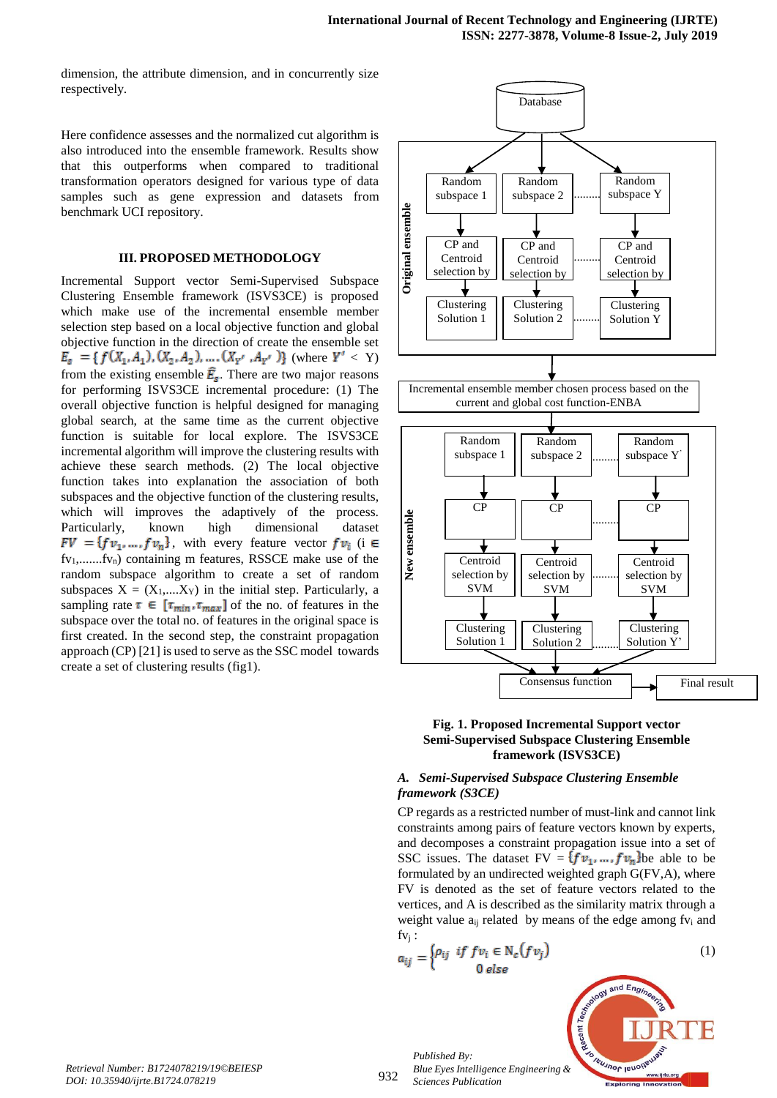dimension, the attribute dimension, and in concurrently size respectively.

Here confidence assesses and the normalized cut algorithm is also introduced into the ensemble framework. Results show that this outperforms when compared to traditional transformation operators designed for various type of data samples such as gene expression and datasets from benchmark UCI repository.

## **III. PROPOSED METHODOLOGY**

Incremental Support vector Semi-Supervised Subspace Clustering Ensemble framework (ISVS3CE) is proposed which make use of the incremental ensemble member selection step based on a local objective function and global objective function in the direction of create the ensemble set  $E_g$  = {  $f(X_1, A_1), (X_2, A_2), ..., (X_{Y'}, A_{Y'})$ } (where  $Y' < Y$ ) from the existing ensemble  $\hat{E}_s$ . There are two major reasons for performing ISVS3CE incremental procedure: (1) The overall objective function is helpful designed for managing global search, at the same time as the current objective function is suitable for local explore. The ISVS3CE incremental algorithm will improve the clustering results with achieve these search methods. (2) The local objective function takes into explanation the association of both subspaces and the objective function of the clustering results, which will improves the adaptively of the process. Particularly, known high dimensional dataset  $FV = \{fv_1, ..., fv_n\}$ , with every feature vector  $fv_i$  (i  $\in$ fv<sub>1</sub>,.......fv<sub>n</sub>) containing m features, RSSCE make use of the random subspace algorithm to create a set of random subspaces  $X = (X_1,...,X_Y)$  in the initial step. Particularly, a sampling rate  $\tau \in [\tau_{min}, \tau_{max}]$  of the no. of features in the subspace over the total no. of features in the original space is first created. In the second step, the constraint propagation approach (CP) [21] is used to serve as the SSC model towards create a set of clustering results (fig1).





## *A. Semi-Supervised Subspace Clustering Ensemble framework (S3CE)*

CP regards as a restricted number of must-link and cannot link constraints among pairs of feature vectors known by experts, and decomposes a constraint propagation issue into a set of SSC issues. The dataset  $FV = \{fv_1, ..., fv_n\}$ be able to be formulated by an undirected weighted graph G(FV,A), where FV is denoted as the set of feature vectors related to the vertices, and A is described as the similarity matrix through a weight value  $a_{ij}$  related by means of the edge among  $f_{V_i}$  and  $f_{Vi}$ :

$$
a_{ij} = \begin{cases} \rho_{ij} & \text{if } fv_i \in \mathbb{N}_c(fv_j) \\ 0 & \text{else} \end{cases} \tag{1}
$$



932

*Published By: Blue Eyes Intelligence Engineering & Sciences Publication*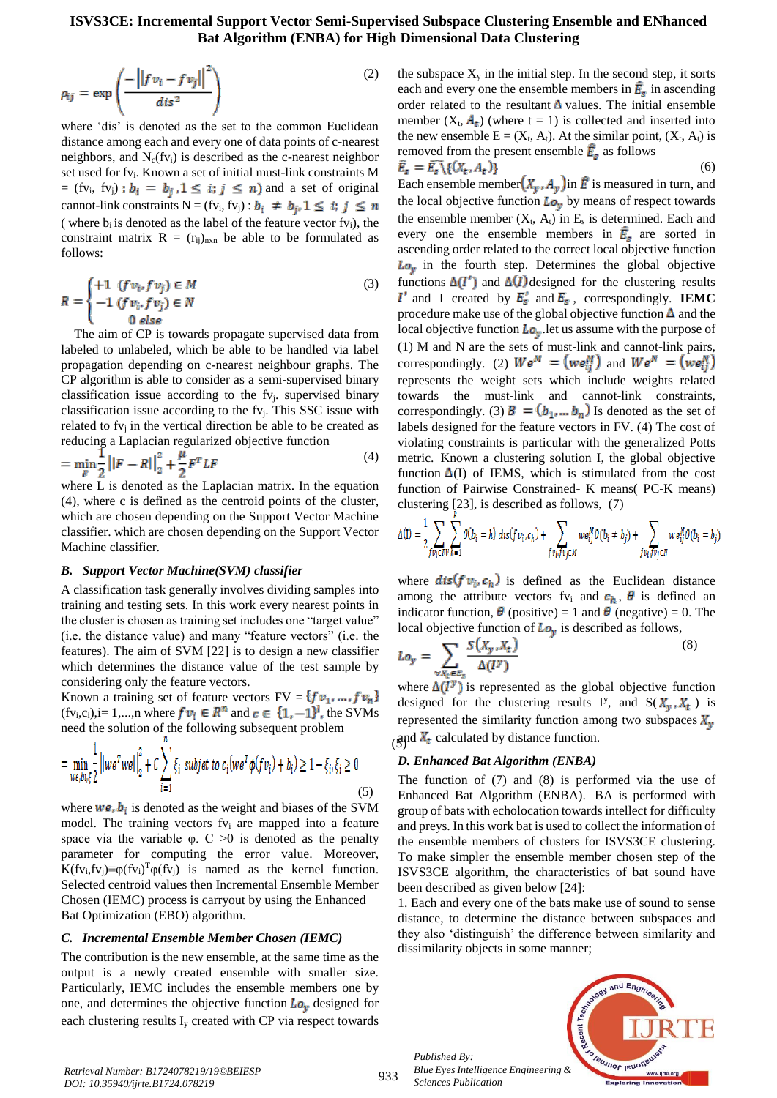$$
\rho_{ij} = \exp\left(\frac{-\left|\left|fv_i - fv_j\right|\right|^2}{dis^2}\right) \tag{2}
$$

where 'dis' is denoted as the set to the common Euclidean distance among each and every one of data points of c-nearest neighbors, and  $N_c(fv_i)$  is described as the c-nearest neighbor set used for fv<sub>i</sub>. Known a set of initial must-link constraints M = (fv<sub>i</sub>, fv<sub>j</sub>) :  $b_i = b_j$ , 1  $\leq i$ ;  $j \leq n$ ) and a set of original cannot-link constraints N = (fv<sub>i</sub>, fv<sub>j</sub>) :  $b_i \neq b_j$ ,  $1 \leq i$ ;  $j \leq n$ ( where  $b_i$  is denoted as the label of the feature vector  $f_{v_i}$ ), the constraint matrix  $R = (r_{ij})_{n \times n}$  be able to be formulated as follows:

$$
R = \begin{cases} +1 & (fv_i, fv_j) \in M \\ -1 & (fv_i, fv_j) \in N \\ & 0 & else \end{cases}
$$
 (3)

The aim of CP is towards propagate supervised data from labeled to unlabeled, which be able to be handled via label propagation depending on c-nearest neighbour graphs. The CP algorithm is able to consider as a semi-supervised binary classification issue according to the fvj. supervised binary classification issue according to the fvj. This SSC issue with related to  $f_{\rm V}$  in the vertical direction be able to be created as reducing a Laplacian regularized objective function

$$
= \min_{F} \frac{1}{2} ||F - R||_2^2 + \frac{\mu}{2} F^T L F
$$
\n(4)

where L is denoted as the Laplacian matrix. In the equation (4), where c is defined as the centroid points of the cluster, which are chosen depending on the Support Vector Machine classifier. which are chosen depending on the Support Vector Machine classifier.

#### *B. Support Vector Machine(SVM) classifier*

A classification task generally involves dividing samples into training and testing sets. In this work every nearest points in the cluster is chosen as training set includes one "target value" (i.e. the distance value) and many "feature vectors" (i.e. the features). The aim of SVM [22] is to design a new classifier which determines the distance value of the test sample by considering only the feature vectors.

Known a training set of feature vectors  $FV = \{fv_1, ..., fv_n\}$  $(fv_i,c_i)$ , i= 1,..., n where  $fv_i \in R^n$  and  $c \in \{1, -1\}^l$ , the SVMs need the solution of the following subsequent problem

$$
= \min_{\substack{w \in \mathcal{M}, \xi \\ w \in \mathcal{M}}} \frac{1}{2} ||w e^T w e||_2^2 + C \sum_{i=1} \xi_i \ \text{subject to} \ c_i (w e^T \phi(f v_i) + b_i) \ge 1 - \xi_i, \xi_i \ge 0
$$
\n<sup>(5)</sup>

where  $w e$ ,  $b_i$  is denoted as the weight and biases of the SVM model. The training vectors  $f_{V_i}$  are mapped into a feature space via the variable  $\varphi$ . C  $>0$  is denoted as the penalty parameter for computing the error value. Moreover, K(fv<sub>i</sub>,fv<sub>j</sub>)≡ $\varphi$ (fv<sub>i</sub>)<sup>T</sup> $\varphi$ (fv<sub>j</sub>) is named as the kernel function. Selected centroid values then Incremental Ensemble Member Chosen (IEMC) process is carryout by using the Enhanced Bat Optimization (EBO) algorithm.

#### *C. Incremental Ensemble Member Chosen (IEMC)*

The contribution is the new ensemble, at the same time as the output is a newly created ensemble with smaller size. Particularly, IEMC includes the ensemble members one by one, and determines the objective function  $\mathbf{L} \mathbf{o}_v$  designed for each clustering results I<sup>y</sup> created with CP via respect towards

the subspace  $X<sub>y</sub>$  in the initial step. In the second step, it sorts each and every one the ensemble members in  $\mathbf{E}_{s}$  in ascending order related to the resultant  $\Delta$  values. The initial ensemble member  $(X_t, A_t)$  (where  $t = 1$ ) is collected and inserted into the new ensemble  $E = (X_t, A_t)$ . At the similar point,  $(X_t, A_t)$  is removed from the present ensemble  $\hat{E}_s$  as follows

$$
\tilde{E}_s = \tilde{E}_s \setminus \{ (X_t, A_t) \} \tag{6}
$$

Each ensemble member  $(X_y, A_y)$  in **E** is measured in turn, and the local objective function  $L_{\mathbf{Q}_y}$  by means of respect towards the ensemble member  $(X_t, A_t)$  in  $E_s$  is determined. Each and every one the ensemble members in  $\mathbf{\hat{F}}_s$  are sorted in ascending order related to the correct local objective function  $Lo<sub>v</sub>$  in the fourth step. Determines the global objective functions  $\Delta(I')$  and  $\Delta(I)$  designed for the clustering results  $I'$  and I created by  $E'_s$  and  $E_s$ , correspondingly. **IEMC** procedure make use of the global objective function  $\Delta$  and the local objective function  $L_{\mathbf{Q}_y}$  let us assume with the purpose of (1) M and N are the sets of must-link and cannot-link pairs, correspondingly. (2)  $W e^M = (w e_{ii}^M)$  and  $W e^N = (w e_{ii}^N)$ represents the weight sets which include weights related towards the must-link and cannot-link constraints, correspondingly. (3)  $\mathbf{B} = (\mathbf{b}_1, \dots, \mathbf{b}_n)$  Is denoted as the set of labels designed for the feature vectors in FV. (4) The cost of violating constraints is particular with the generalized Potts metric. Known a clustering solution I, the global objective function  $\Delta(I)$  of IEMS, which is stimulated from the cost function of Pairwise Constrained- K means( PC-K means) clustering [23], is described as follows, (7)

$$
\Delta(\mathbf{l}) = \frac{1}{2} \sum_{fv_i \in FV} \sum_{h=1}^{k} \theta(b_i = h) \operatorname{dis}(fv_i, c_h) + \sum_{fv_i, fv_j \in M} we_{ij}^M \theta(b_i \neq b_j) + \sum_{fv_i, fv_j \in N} we_{ij}^N \theta(b_i = b_j)
$$

where  $dis(f v_i, c_h)$  is defined as the Euclidean distance among the attribute vectors fv<sub>i</sub> and  $c_h$ ,  $\theta$  is defined an indicator function,  $\boldsymbol{\theta}$  (positive) = 1 and  $\boldsymbol{\theta}$  (negative) = 0. The local objective function of  $L_0$  is described as follows,

$$
Lo_{y} = \sum_{\forall X_t \in E_s} \frac{S(X_y, X_t)}{\Delta(I^y)}
$$
(8)

 $\left(\frac{\text{and } X_t}{\text{)}\text{d}t}\right)$  calculated by distance function. where  $\Delta(I^y)$  is represented as the global objective function designed for the clustering results I<sup>y</sup>, and  $S(X_v, X_t)$  is represented the similarity function among two subspaces  $X_y$ 

#### *D. Enhanced Bat Algorithm (ENBA)*

The function of (7) and (8) is performed via the use of Enhanced Bat Algorithm (ENBA). BA is performed with group of bats with echolocation towards intellect for difficulty and preys. In this work bat is used to collect the information of the ensemble members of clusters for ISVS3CE clustering. To make simpler the ensemble member chosen step of the ISVS3CE algorithm, the characteristics of bat sound have been described as given below [24]:

1. Each and every one of the bats make use of sound to sense distance, to determine the distance between subspaces and they also 'distinguish' the difference between similarity and dissimilarity objects in some manner;

*Published By: Blue Eyes Intelligence Engineering & Sciences Publication* 

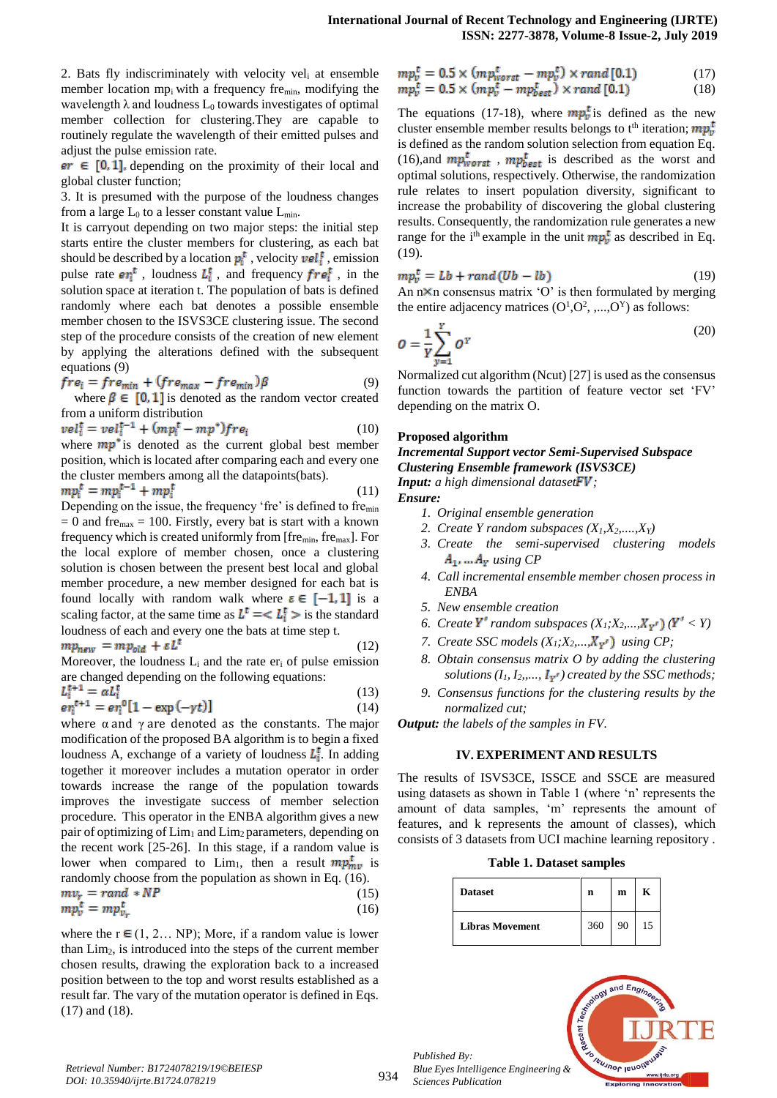2. Bats fly indiscriminately with velocity vel<sub>i</sub> at ensemble member location mpi with a frequency fremin, modifying the wavelength  $\lambda$  and loudness  $L_0$  towards investigates of optimal member collection for clustering.They are capable to routinely regulate the wavelength of their emitted pulses and adjust the pulse emission rate.

 $er \in [0, 1]$ , depending on the proximity of their local and global cluster function;

3. It is presumed with the purpose of the loudness changes from a large  $L_0$  to a lesser constant value  $L_{min}$ .

It is carryout depending on two major steps: the initial step starts entire the cluster members for clustering, as each bat should be described by a location  $p_i^t$ , velocity  $vel_i^t$ , emission pulse rate  $er_i^t$ , loudness  $L_i^t$ , and frequency  $fre_i^t$ , in the solution space at iteration t. The population of bats is defined randomly where each bat denotes a possible ensemble member chosen to the ISVS3CE clustering issue. The second step of the procedure consists of the creation of new element by applying the alterations defined with the subsequent equations (9)

$$
fre_i = fre_{min} + (fre_{max} - fre_{min})\beta \tag{9}
$$

where  $\beta \in [0, 1]$  is denoted as the random vector created from a uniform distribution

$$
vel_i^t = vel_i^{t-1} + (mp_i^t - mp^*)fre_i
$$
 (10)  
where  $mp^*$  is denoted as the current global best member

position, which is located after comparing each and every one the cluster members among all the datapoints(bats).

$$
mp_i^t = mp_i^{t-1} + mp_i^t \tag{11}
$$

Depending on the issue, the frequency 'fre' is defined to fremin  $= 0$  and fre<sub>max</sub>  $= 100$ . Firstly, every bat is start with a known frequency which is created uniformly from [fremin, fremax]. For the local explore of member chosen, once a clustering solution is chosen between the present best local and global member procedure, a new member designed for each bat is found locally with random walk where  $\epsilon \in [-1,1]$  is a scaling factor, at the same time as  $L^t = \langle L_i^t \rangle$  is the standard loudness of each and every one the bats at time step t.

$$
mp_{new} = mp_{old} + \varepsilon L^t \tag{12}
$$

Moreover, the loudness  $L_i$  and the rate  $er_i$  of pulse emission are changed depending on the following equations:<br> $I_{\pm}^{t+1} = \alpha I_{\pm}^t$  $(13)$ 

$$
e_{\eta}^{t+1} = e_{\eta}^{0} [1 - \exp(-\gamma t)] \tag{14}
$$

where  $\alpha$  and  $\gamma$  are denoted as the constants. The major modification of the proposed BA algorithm is to begin a fixed loudness A, exchange of a variety of loudness  $L_1^{\mathbf{t}}$ . In adding together it moreover includes a mutation operator in order towards increase the range of the population towards improves the investigate success of member selection procedure. This operator in the ENBA algorithm gives a new pair of optimizing of Lim<sub>1</sub> and Lim<sub>2</sub> parameters, depending on the recent work [25-26]. In this stage, if a random value is lower when compared to Lim<sub>1</sub>, then a result  $mp_{mv}^{t}$  is randomly choose from the population as shown in Eq. (16).  $mv_r = rand * NP$  $(15)$ 

$$
mp_v^t = mp_{v_r}^t \tag{16}
$$

where the  $r \in (1, 2... NP)$ ; More, if a random value is lower than Lim2, is introduced into the steps of the current member chosen results, drawing the exploration back to a increased position between to the top and worst results established as a result far. The vary of the mutation operator is defined in Eqs. (17) and (18).

$$
mp_v^t = 0.5 \times (mp_{worst}^t - mp_v^t) \times rand[0.1)
$$
  
\n
$$
mp_v^t = 0.5 \times (mp_v^t - mp_{best}^t) \times rand[0.1)
$$
\n(18)

The equations (17-18), where  $mp_v^{\dagger}$  is defined as the new cluster ensemble member results belongs to t<sup>th</sup> iteration;  $mp_v^t$ is defined as the random solution selection from equation Eq. (16),and  $mp_{worst}^{t}$ ,  $mp_{best}^{t}$  is described as the worst and optimal solutions, respectively. Otherwise, the randomization rule relates to insert population diversity, significant to increase the probability of discovering the global clustering results. Consequently, the randomization rule generates a new range for the i<sup>th</sup> example in the unit  $mp_v^t$  as described in Eq. (19).

$$
mp_v^t = Lb + rand(Ub - lb)
$$
 (19)

An  $n \times n$  consensus matrix 'O' is then formulated by merging the entire adjacency matrices  $(O<sup>1</sup>, O<sup>2</sup>, ..., O<sup>Y</sup>)$  as follows:

$$
O = \frac{1}{Y} \sum_{y=1}^{Y} O^{Y}
$$
 (20)

Normalized cut algorithm (Ncut) [27] is used as the consensus function towards the partition of feature vector set 'FV' depending on the matrix O.

## **Proposed algorithm**

*Incremental Support vector Semi-Supervised Subspace Clustering Ensemble framework (ISVS3CE) Input: a high dimensional datasetFV:* 

*Ensure:*

- *1. Original ensemble generation*
- 2. *Create Y random subspaces*  $(X_1, X_2, \ldots, X_Y)$
- *3. Create the semi-supervised clustering models*   $A_1$ , ...  $A_Y$  using  $CP$
- *4. Call incremental ensemble member chosen process in ENBA*
- *5. New ensemble creation*
- *6. Create*  $Y'$  *random subspaces*  $(X_1; X_2, \ldots, X_{Y'}) (Y' < Y)$
- *7. Create SSC models*  $(X_1; X_2, \ldots, X_{Y'})$  *using CP*;
- *8. Obtain consensus matrix O by adding the clustering solutions*  $(I_1, I_2, \ldots, I_{\mathbf{Y}^r})$  *created by the SSC methods;*
- *9. Consensus functions for the clustering results by the normalized cut;*

*Output: the labels of the samples in FV.*

## **IV. EXPERIMENT AND RESULTS**

The results of ISVS3CE, ISSCE and SSCE are measured using datasets as shown in Table 1 (where 'n' represents the amount of data samples, 'm' represents the amount of features, and k represents the amount of classes), which consists of 3 datasets from UCI machine learning repository .

**Table 1. Dataset samples**

| <b>Dataset</b>         | n   | m  |    |
|------------------------|-----|----|----|
| <b>Libras Movement</b> | 360 | 90 | 15 |



*Published By:*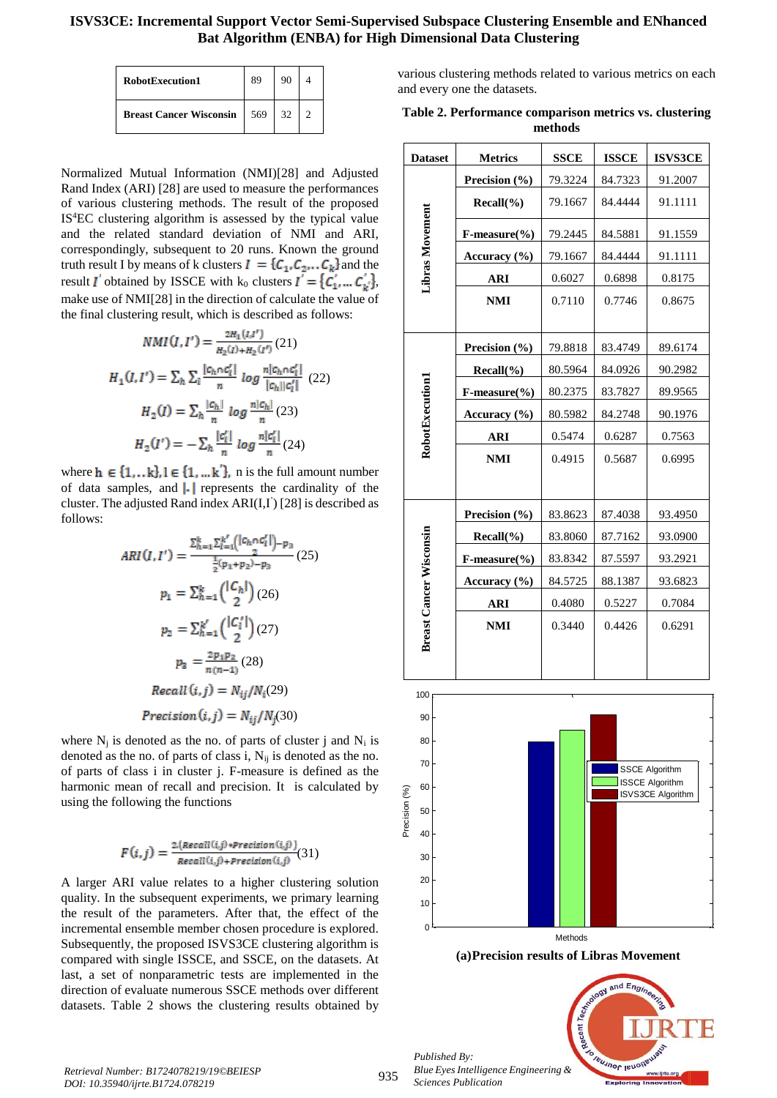| RobotExecution1                | 89  |     |  |
|--------------------------------|-----|-----|--|
| <b>Breast Cancer Wisconsin</b> | 569 | -32 |  |

Normalized Mutual Information (NMI)[28] and Adjusted Rand Index (ARI) [28] are used to measure the performances of various clustering methods. The result of the proposed IS<sup>4</sup>EC clustering algorithm is assessed by the typical value and the related standard deviation of NMI and ARI, correspondingly, subsequent to 20 runs. Known the ground truth result I by means of k clusters  $I = \{C_1, C_2, \ldots, C_k\}$  and the result *I* obtained by ISSCE with  $k_0$  clusters  $I = \{C_1, ..., C_k\}$ , make use of NMI[28] in the direction of calculate the value of the final clustering result, which is described as follows:

$$
NMI(I, I') = \frac{2H_1(I, I')}{H_2(I) + H_2(I')} (21)
$$
  
\n
$$
H_1(I, I') = \sum_h \sum_l \frac{|c_h \cap c'_l|}{n} \log \frac{n|c_h \cap c'_l|}{|c_h||c'_l|} (22)
$$
  
\n
$$
H_2(I) = \sum_h \frac{|c_h|}{n} \log \frac{n|c_h|}{n} (23)
$$
  
\n
$$
H_2(I') = -\sum_h \frac{|c'_l|}{n} \log \frac{n|c'_l|}{n} (24)
$$

where  $h \in \{1, ..., k\}, l \in \{1, ..., k'\}, n$  is the full amount number of data samples, and  $\left\| \cdot \right\|$  represents the cardinality of the cluster. The adjusted Rand index ARI(I,I' ) [28] is described as follows:

$$
ARI(I, I') = \frac{\sum_{h=1}^{k} \sum_{l=1}^{k'} (|c_h \cap c'_l|)_{-p_3}}{\frac{1}{2}(p_1 + p_2)_{-p_3}} (25)
$$
  
\n
$$
p_1 = \sum_{h=1}^{k} {|\binom{c_h}{2}(26)|}
$$
  
\n
$$
p_2 = \sum_{h=1}^{k'} {|\binom{c'_l}{2}(27)|}
$$
  
\n
$$
p_3 = \frac{2p_1p_2}{n(n-1)} (28)
$$
  
\n
$$
Recall (i, j) = N_{ij}/N_i(29)
$$
  
\n
$$
Precision(i, j) = N_{ij}/N_j(30)
$$

where  $N_i$  is denoted as the no. of parts of cluster j and  $N_i$  is denoted as the no. of parts of class i,  $N_{ij}$  is denoted as the no. of parts of class i in cluster j. F-measure is defined as the harmonic mean of recall and precision. It is calculated by using the following the functions

$$
F(i,j) = \frac{2 \cdot (Recall(i,j) * Precision(i,j))}{Recall(i,j) + Precision(i,j)}(31)
$$

A larger ARI value relates to a higher clustering solution quality. In the subsequent experiments, we primary learning the result of the parameters. After that, the effect of the incremental ensemble member chosen procedure is explored. Subsequently, the proposed ISVS3CE clustering algorithm is compared with single ISSCE, and SSCE, on the datasets. At last, a set of nonparametric tests are implemented in the direction of evaluate numerous SSCE methods over different datasets. Table 2 shows the clustering results obtained by various clustering methods related to various metrics on each and every one the datasets.

**Table 2. Performance comparison metrics vs. clustering methods**

| <b>Dataset</b>                 | <b>Metrics</b>             | <b>SSCE</b> | <b>ISSCE</b> | <b>ISVS3CE</b> |
|--------------------------------|----------------------------|-------------|--------------|----------------|
| Libras Movement                | Precision (%)              | 79.3224     | 84.7323      | 91.2007        |
|                                | $Recall(\% )$              | 79.1667     | 84.4444      | 91.1111        |
|                                | $F-measure$ <sup>(%)</sup> | 79.2445     | 84.5881      | 91.1559        |
|                                | Accuracy $(\% )$           | 79.1667     | 84.4444      | 91.1111        |
|                                | <b>ARI</b>                 | 0.6027      | 0.6898       | 0.8175         |
|                                | <b>NMI</b>                 | 0.7110      | 0.7746       | 0.8675         |
| RobotExecution1                | Precision (%)              | 79.8818     | 83.4749      | 89.6174        |
|                                | Recall(%)                  | 80.5964     | 84.0926      | 90.2982        |
|                                | $F-measure$ <sup>(%)</sup> | 80.2375     | 83.7827      | 89.9565        |
|                                | Accuracy (%)               | 80.5982     | 84.2748      | 90.1976        |
|                                | <b>ARI</b>                 | 0.5474      | 0.6287       | 0.7563         |
|                                | <b>NMI</b>                 | 0.4915      | 0.5687       | 0.6995         |
| <b>Breast Cancer Wisconsin</b> | Precision (%)              | 83.8623     | 87.4038      | 93.4950        |
|                                | $Recall(\%)$               | 83.8060     | 87.7162      | 93.0900        |
|                                | $F-measure(\% )$           | 83.8342     | 87.5597      | 93.2921        |
|                                | Accuracy $(\% )$           | 84.5725     | 88.1387      | 93.6823        |
|                                | <b>ARI</b>                 | 0.4080      | 0.5227       | 0.7084         |
|                                | <b>NMI</b>                 | 0.3440      | 0.4426       | 0.6291         |



**(a)Precision results of Libras Movement**



*Published By:*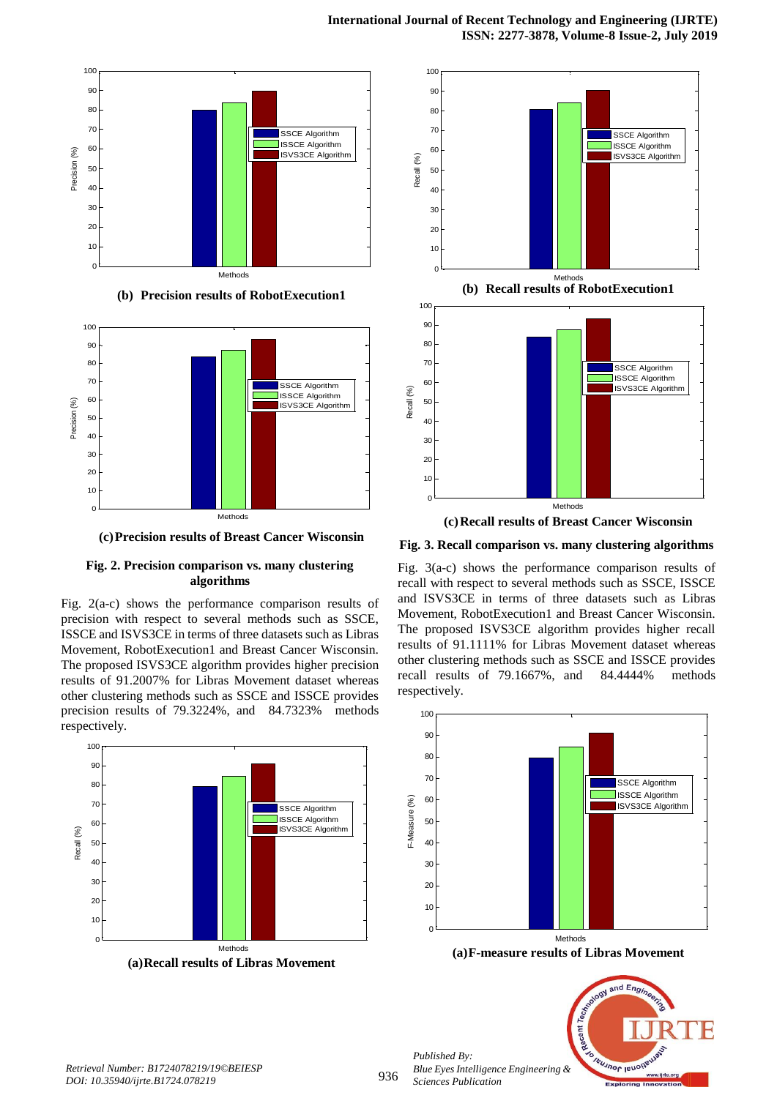

**(b) Precision results of RobotExecution1**



**(c)Precision results of Breast Cancer Wisconsin**

## **Fig. 2. Precision comparison vs. many clustering algorithms**

Fig. 2(a-c) shows the performance comparison results of precision with respect to several methods such as SSCE, ISSCE and ISVS3CE in terms of three datasets such as Libras Movement, RobotExecution1 and Breast Cancer Wisconsin. The proposed ISVS3CE algorithm provides higher precision results of 91.2007% for Libras Movement dataset whereas other clustering methods such as SSCE and ISSCE provides precision results of 79.3224%, and 84.7323% methods respectively.





**Fig. 3. Recall comparison vs. many clustering algorithms**

Fig. 3(a-c) shows the performance comparison results of recall with respect to several methods such as SSCE, ISSCE and ISVS3CE in terms of three datasets such as Libras Movement, RobotExecution1 and Breast Cancer Wisconsin. The proposed ISVS3CE algorithm provides higher recall results of 91.1111% for Libras Movement dataset whereas other clustering methods such as SSCE and ISSCE provides recall results of 79.1667%, and 84.4444% methods respectively.



**(a)F-measure results of Libras Movement**



*Published By:*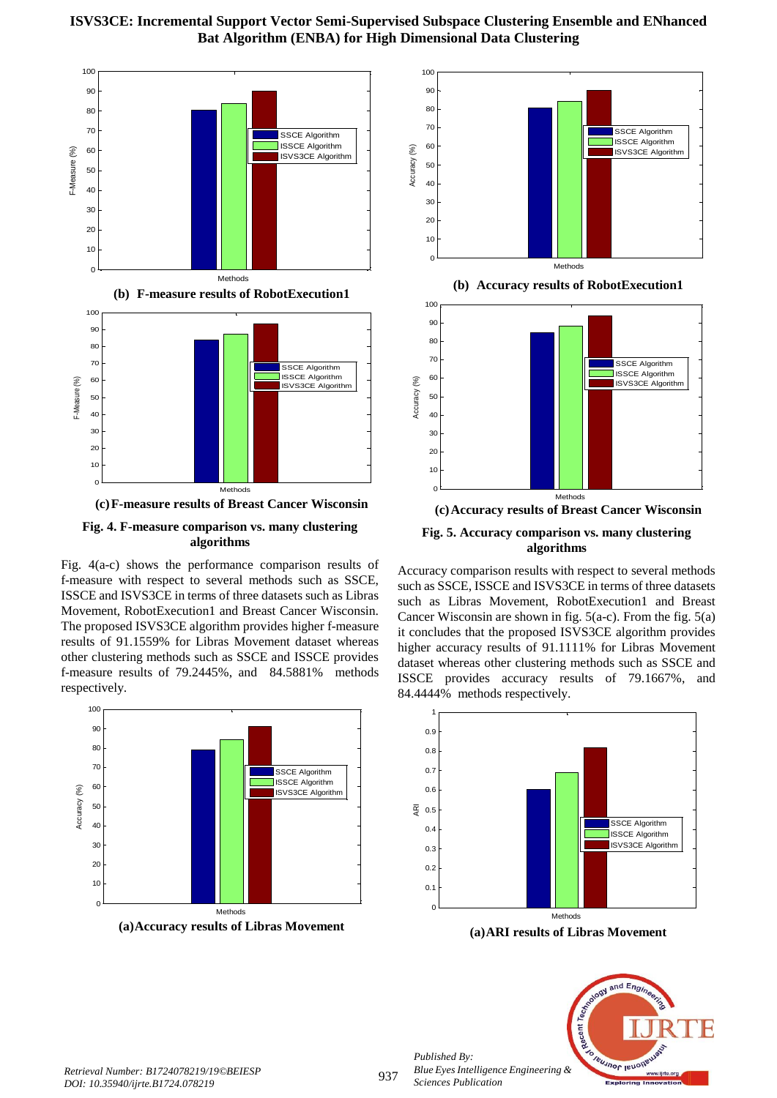



**Fig. 4. F-measure comparison vs. many clustering algorithms**

Fig. 4(a-c) shows the performance comparison results of f-measure with respect to several methods such as SSCE, ISSCE and ISVS3CE in terms of three datasets such as Libras Movement, RobotExecution1 and Breast Cancer Wisconsin. The proposed ISVS3CE algorithm provides higher f-measure results of 91.1559% for Libras Movement dataset whereas other clustering methods such as SSCE and ISSCE provides f-measure results of 79.2445%, and 84.5881% methods respectively.



**(a)Accuracy results of Libras Movement**



**(b) Accuracy results of RobotExecution1**



**(c)Accuracy results of Breast Cancer Wisconsin Fig. 5. Accuracy comparison vs. many clustering algorithms**

Accuracy comparison results with respect to several methods such as SSCE, ISSCE and ISVS3CE in terms of three datasets such as Libras Movement, RobotExecution1 and Breast Cancer Wisconsin are shown in fig. 5(a-c). From the fig. 5(a) it concludes that the proposed ISVS3CE algorithm provides higher accuracy results of 91.1111% for Libras Movement dataset whereas other clustering methods such as SSCE and ISSCE provides accuracy results of 79.1667%, and 84.4444% methods respectively.



**(a)ARI results of Libras Movement**



*Retrieval Number: B1724078219/19©BEIESP DOI: 10.35940/ijrte.B1724.078219*

*Published By:*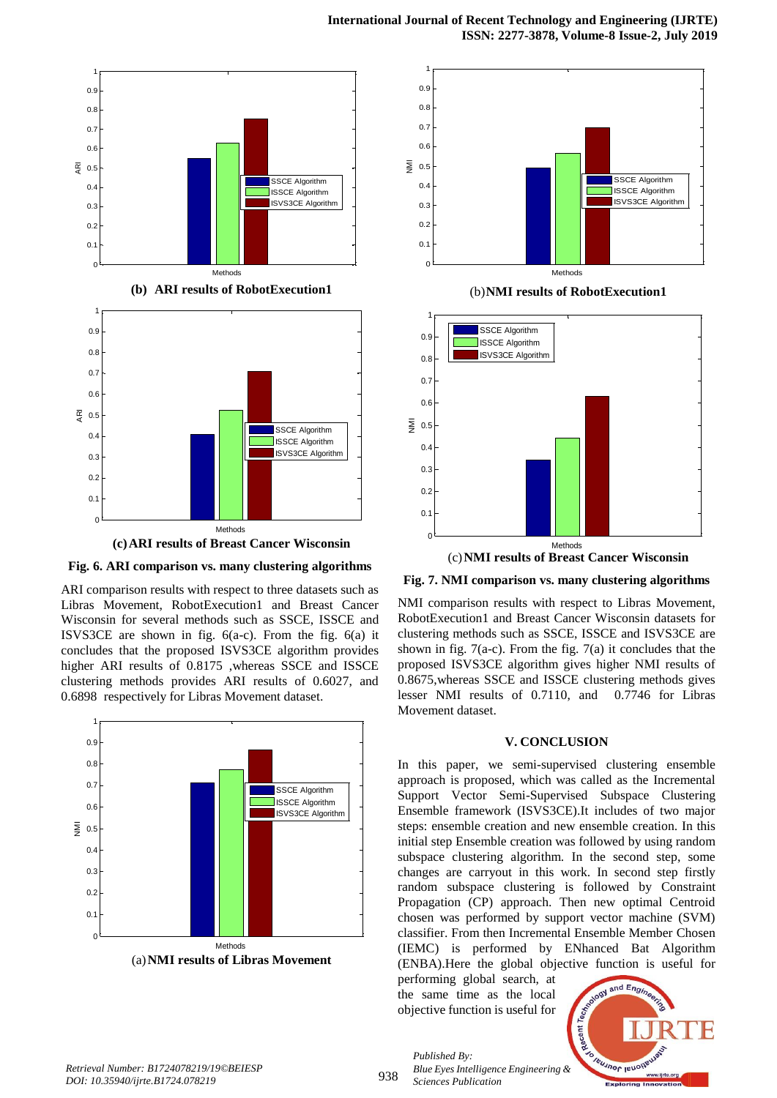

**Fig. 6. ARI comparison vs. many clustering algorithms**

ARI comparison results with respect to three datasets such as Libras Movement, RobotExecution1 and Breast Cancer Wisconsin for several methods such as SSCE, ISSCE and ISVS3CE are shown in fig. 6(a-c). From the fig. 6(a) it concludes that the proposed ISVS3CE algorithm provides higher ARI results of 0.8175 ,whereas SSCE and ISSCE clustering methods provides ARI results of 0.6027, and 0.6898 respectively for Libras Movement dataset.





(b)**NMI results of RobotExecution1**



(c)**NMI results of Breast Cancer Wisconsin**

# **Fig. 7. NMI comparison vs. many clustering algorithms**

NMI comparison results with respect to Libras Movement, RobotExecution1 and Breast Cancer Wisconsin datasets for clustering methods such as SSCE, ISSCE and ISVS3CE are shown in fig.  $7(a-c)$ . From the fig.  $7(a)$  it concludes that the proposed ISVS3CE algorithm gives higher NMI results of 0.8675,whereas SSCE and ISSCE clustering methods gives lesser NMI results of 0.7110, and 0.7746 for Libras Movement dataset.

#### **V. CONCLUSION**

In this paper, we semi-supervised clustering ensemble approach is proposed, which was called as the Incremental Support Vector Semi-Supervised Subspace Clustering Ensemble framework (ISVS3CE).It includes of two major steps: ensemble creation and new ensemble creation. In this initial step Ensemble creation was followed by using random subspace clustering algorithm. In the second step, some changes are carryout in this work. In second step firstly random subspace clustering is followed by Constraint Propagation (CP) approach. Then new optimal Centroid chosen was performed by support vector machine (SVM) classifier. From then Incremental Ensemble Member Chosen (IEMC) is performed by ENhanced Bat Algorithm (ENBA).Here the global objective function is useful for

performing global search, at the same time as the local objective function is useful for

*Published By:*

*Sciences Publication* 



938